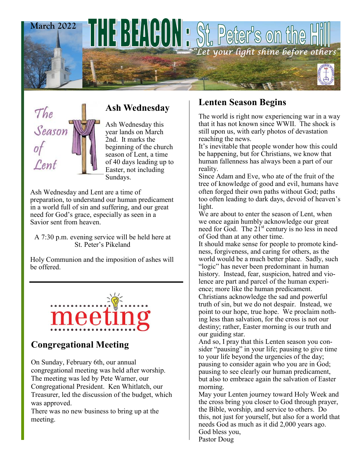



# **Ash Wednesday**

Ash Wednesday this year lands on March 2nd. It marks the beginning of the church season of Lent, a time of 40 days leading up to Easter, not including Sundays.

Ash Wednesday and Lent are a time of preparation, to understand our human predicament in a world full of sin and suffering, and our great need for God's grace, especially as seen in a Savior sent from heaven.

A 7:30 p.m. evening service will be held here at St. Peter's Pikeland

Holy Communion and the imposition of ashes will be offered.



### **Congregational Meeting**

On Sunday, February 6th, our annual congregational meeting was held after worship. The meeting was led by Pete Warner, our Congregational President. Ken Whitlatch, our Treasurer, led the discussion of the budget, which was approved.

There was no new business to bring up at the meeting.

### **Lenten Season Begins**

The world is right now experiencing war in a way that it has not known since WWII. The shock is still upon us, with early photos of devastation reaching the news.

It's inevitable that people wonder how this could be happening, but for Christians, we know that human fallenness has always been a part of our reality.

Since Adam and Eve, who ate of the fruit of the tree of knowledge of good and evil, humans have often forged their own paths without God; paths too often leading to dark days, devoid of heaven's light.

We are about to enter the season of Lent, when we once again humbly acknowledge our great need for God. The 21<sup>st</sup> century is no less in need of God than at any other time.

It should make sense for people to promote kindness, forgiveness, and caring for others, as the world would be a much better place. Sadly, such "logic" has never been predominant in human history. Instead, fear, suspicion, hatred and violence are part and parcel of the human experience; more like the human predicament. Christians acknowledge the sad and powerful truth of sin, but we do not despair. Instead, we point to our hope, true hope. We proclaim nothing less than salvation, for the cross is not our destiny; rather, Easter morning is our truth and our guiding star.

And so, I pray that this Lenten season you consider "pausing" in your life; pausing to give time to your life beyond the urgencies of the day; pausing to consider again who you are in God; pausing to see clearly our human predicament, but also to embrace again the salvation of Easter morning.

May your Lenten journey toward Holy Week and the cross bring you closer to God through prayer, the Bible, worship, and service to others. Do this, not just for yourself, but also for a world that needs God as much as it did 2,000 years ago. God bless you, Pastor Doug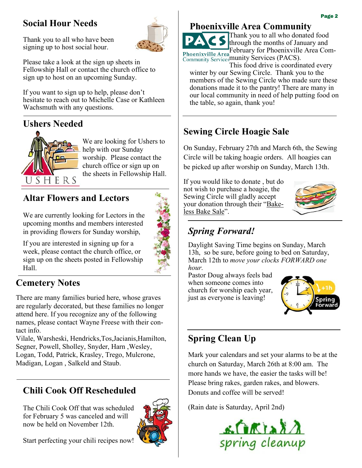# **Social Hour Needs**

Thank you to all who have been signing up to host social hour.

Please take a look at the sign up sheets in Fellowship Hall or contact the church office to sign up to host on an upcoming Sunday.

If you want to sign up to help, please don't hesitate to reach out to Michelle Case or Kathleen Wachsmuth with any questions.

# **Ushers Needed**



We are looking for Ushers to help with our Sunday worship. Please contact the church office or sign up on the sheets in Fellowship Hall.

# **Altar Flowers and Lectors**

We are currently looking for Lectors in the upcoming months and members interested in providing flowers for Sunday worship,



If you are interested in signing up for a week, please contact the church office, or sign up on the sheets posted in Fellowship Hall.

# **Cemetery Notes**

There are many families buried here, whose graves are regularly decorated, but these families no longer attend here. If you recognize any of the following names, please contact Wayne Freese with their contact info.

Vilale, Warsheski, Hendricks,Tos,Jacianis,Hamilton, Segner, Powell, Sholley, Snyder, Harn ,Wesley, Logan, Todd, Patrick, Krasley, Trego, Mulcrone, Madigan, Logan , Salkeld and Staub.

# **Chili Cook Off Rescheduled**

The Chili Cook Off that was scheduled for February 5 was canceled and will now be held on November 12th.



Start perfecting your chili recipes now!

### **Phoenixville Area Community**

Thank you to all who donated food through the months of January and February for Phoenixville Area Com-**Phoenixville Area** February for Phoenixville<br>Community Services (PACS).

This food drive is coordinated every winter by our Sewing Circle. Thank you to the members of the Sewing Circle who made sure these donations made it to the pantry! There are many in our local community in need of help putting food on the table, so again, thank you!

# **Sewing Circle Hoagie Sale**

On Sunday, February 27th and March 6th, the Sewing Circle will be taking hoagie orders. All hoagies can be picked up after worship on Sunday, March 13th.

If you would like to donate , but do not wish to purchase a hoagie, the Sewing Circle will gladly accept your donation through their "Bakeless Bake Sale".



## *Spring Forward!*

Daylight Saving Time begins on Sunday, March 13h, so be sure, before going to bed on Saturday, March 12th to *move your clocks FORWARD one hour.*

Pastor Doug always feels bad when someone comes into church for worship each year, just as everyone is leaving!



# **Spring Clean Up**

Mark your calendars and set your alarms to be at the church on Saturday, March 26th at 8:00 am. The more hands we have, the easier the tasks will be! Please bring rakes, garden rakes, and blowers. Donuts and coffee will be served!

(Rain date is Saturday, April 2nd)

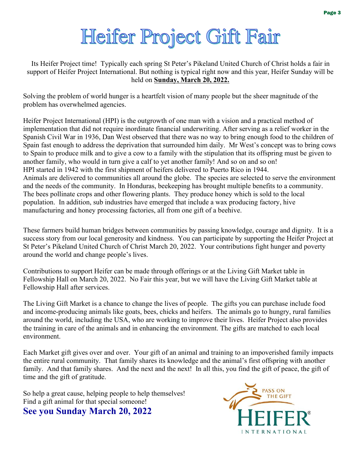# **Heifer Project Gift Fair**

Its Heifer Project time! Typically each spring St Peter's Pikeland United Church of Christ holds a fair in support of Heifer Project International. But nothing is typical right now and this year, Heifer Sunday will be held on **Sunday, March 20, 2022.**

Solving the problem of world hunger is a heartfelt vision of many people but the sheer magnitude of the problem has overwhelmed agencies.

Heifer Project International (HPI) is the outgrowth of one man with a vision and a practical method of implementation that did not require inordinate financial underwriting. After serving as a relief worker in the Spanish Civil War in 1936, Dan West observed that there was no way to bring enough food to the children of Spain fast enough to address the deprivation that surrounded him daily. Mr West's concept was to bring cows to Spain to produce milk and to give a cow to a family with the stipulation that its offspring must be given to another family, who would in turn give a calf to yet another family! And so on and so on! HPI started in 1942 with the first shipment of heifers delivered to Puerto Rico in 1944. Animals are delivered to communities all around the globe. The species are selected to serve the environment and the needs of the community. In Honduras, beekeeping has brought multiple benefits to a community. The bees pollinate crops and other flowering plants. They produce honey which is sold to the local population. In addition, sub industries have emerged that include a wax producing factory, hive manufacturing and honey processing factories, all from one gift of a beehive.

These farmers build human bridges between communities by passing knowledge, courage and dignity. It is a success story from our local generosity and kindness. You can participate by supporting the Heifer Project at St Peter's Pikeland United Church of Christ March 20, 2022. Your contributions fight hunger and poverty around the world and change people's lives.

Contributions to support Heifer can be made through offerings or at the Living Gift Market table in Fellowship Hall on March 20, 2022. No Fair this year, but we will have the Living Gift Market table at Fellowship Hall after services.

The Living Gift Market is a chance to change the lives of people. The gifts you can purchase include food and income-producing animals like goats, bees, chicks and heifers. The animals go to hungry, rural families around the world, including the USA, who are working to improve their lives. Heifer Project also provides the training in care of the animals and in enhancing the environment. The gifts are matched to each local environment.

Each Market gift gives over and over. Your gift of an animal and training to an impoverished family impacts the entire rural community. That family shares its knowledge and the animal's first offspring with another family. And that family shares. And the next and the next! In all this, you find the gift of peace, the gift of time and the gift of gratitude.

So help a great cause, helping people to help themselves! Find a gift animal for that special someone!

**See you Sunday March 20, 2022**

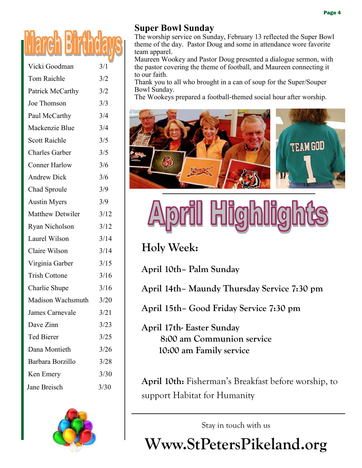| Vicki Goodman           | 3/1  |
|-------------------------|------|
| <b>Tom Raichle</b>      | 3/2  |
| Patrick McCarthy        | 3/2  |
| Joe Thomson             | 3/3  |
| Paul McCarthy           | 3/4  |
| Mackenzie Blue          | 3/4  |
| <b>Scott Raichle</b>    | 3/5  |
| <b>Charles Garber</b>   | 3/5  |
| <b>Conner Harlow</b>    | 3/6  |
| <b>Andrew Dick</b>      | 3/6  |
| Chad Sproule            | 3/9  |
| <b>Austin Myers</b>     | 3/9  |
| <b>Matthew Detwiler</b> | 3/12 |
| Ryan Nicholson          | 3/12 |
| Laurel Wilson           | 3/14 |
| Claire Wilson           | 3/14 |
| Virginia Garber         | 3/15 |
| <b>Trish Cottone</b>    | 3/16 |
| Charlie Shupe           | 3/16 |
| Madison Wachsmuth       | 3/20 |
| James Carnevale         | 3/21 |
| Dave Zinn               | 3/23 |
| <b>Ted Bierer</b>       | 3/25 |
| Dana Montieth           | 3/26 |
| Barbara Borzillo        | 3/28 |
| Ken Emery               | 3/30 |
| Jane Breisch            | 3/30 |



### **Super Bowl Sunday**

The worship service on Sunday, February 13 reflected the Super Bowl theme of the day. Pastor Doug and some in attendance wore favorite team apparel.

Maureen Wookey and Pastor Doug presented a dialogue sermon, with the pastor covering the theme of football, and Maureen connecting it to our faith.

Thank you to all who brought in a can of soup for the Super/Souper Bowl Sunday.

The Wookeys prepared a football-themed social hour after worship.





# **Holy Week:**

**April 10th– Palm Sunday**

**April 14th– Maundy Thursday Service 7:30 pm**

**April 15th– Good Friday Service 7:30 pm**

**April 17th- Easter Sunday 8:00 am Communion service 10:00 am Family service**

**April 10th:** Fisherman's Breakfast before worship, to support Habitat for Humanity

Stay in touch with us

**Www.StPetersPikeland.org**